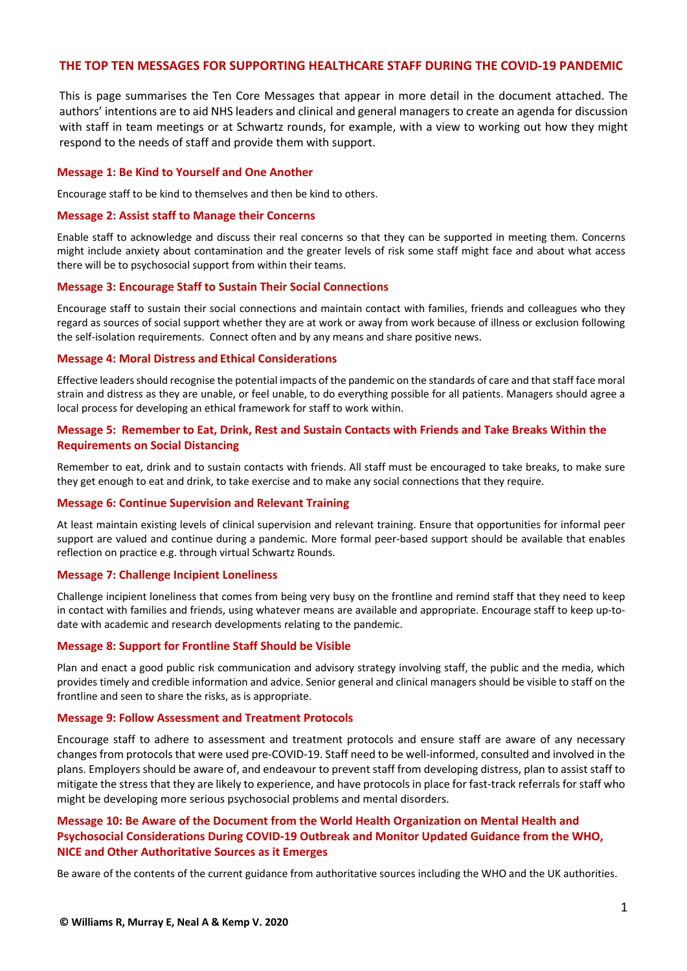#### **THE TOP TEN MESSAGES FOR SUPPORTING HEALTHCARE STAFF DURING THE COVID-19 PANDEMIC**

This is page summarises the Ten Core Messages that appear in more detail in the document attached. The authors' intentions are to aid NHS leaders and clinical and general managers to create an agenda for discussion with staff in team meetings or at Schwartz rounds, for example, with a view to working out how they might respond to the needs of staff and provide them with support.

#### **Message 1: Be Kind to Yourself and One Another**

Encourage staff to be kind to themselves and then be kind to others.

#### **Message 2: Assist staff to Manage their Concerns**

Enable staff to acknowledge and discuss their real concerns so that they can be supported in meeting them. Concerns might include anxiety about contamination and the greater levels of risk some staff might face and about what access there will be to psychosocial support from within their teams.

#### **Message 3: Encourage Staff to Sustain Their Social Connections**

Encourage staff to sustain their social connections and maintain contact with families, friends and colleagues who they regard as sources of social support whether they are at work or away from work because of illness or exclusion following the self-isolation requirements. Connect often and by any means and share positive news.

#### **Message 4: Moral Distress and Ethical Considerations**

Effective leaders should recognise the potential impacts of the pandemic on the standards of care and that staff face moral strain and distress as they are unable, or feel unable, to do everything possible for all patients. Managers should agree a local process for developing an ethical framework for staff to work within.

#### **Message 5: Remember to Eat, Drink, Rest and Sustain Contacts with Friends and Take Breaks Within the Requirements on Social Distancing**

Remember to eat, drink and to sustain contacts with friends. All staff must be encouraged to take breaks, to make sure they get enough to eat and drink, to take exercise and to make any social connections that they require.

#### **Message 6: Continue Supervision and Relevant Training**

At least maintain existing levels of clinical supervision and relevant training. Ensure that opportunities for informal peer support are valued and continue during a pandemic. More formal peer-based support should be available that enables reflection on practice e.g. through virtual Schwartz Rounds.

#### **Message 7: Challenge Incipient Loneliness**

Challenge incipient loneliness that comes from being very busy on the frontline and remind staff that they need to keep in contact with families and friends, using whatever means are available and appropriate. Encourage staff to keep up-todate with academic and research developments relating to the pandemic.

#### **Message 8: Support for Frontline Staff Should be Visible**

Plan and enact a good public risk communication and advisory strategy involving staff, the public and the media, which provides timely and credible information and advice. Senior general and clinical managers should be visible to staff on the frontline and seen to share the risks, as is appropriate.

#### **Message 9: Follow Assessment and Treatment Protocols**

Encourage staff to adhere to assessment and treatment protocols and ensure staff are aware of any necessary changes from protocols that were used pre-COVID-19. Staff need to be well-informed, consulted and involved in the plans. Employers should be aware of, and endeavour to prevent staff from developing distress, plan to assist staff to mitigate the stress that they are likely to experience, and have protocols in place for fast-track referrals for staff who might be developing more serious psychosocial problems and mental disorders.

## **Message 10: Be Aware of the Document from the World Health Organization on Mental Health and Psychosocial Considerations During COVID-19 Outbreak and Monitor Updated Guidance from the WHO, NICE and Other Authoritative Sources as it Emerges**

Be aware of the contents of the current guidance from authoritative sources including the WHO and the UK authorities.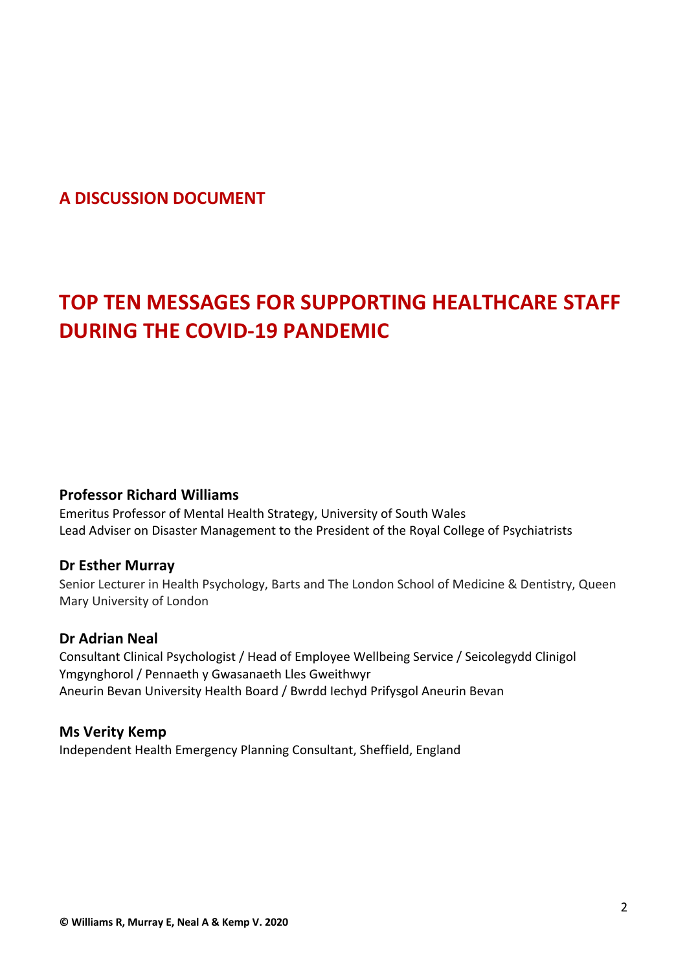# **A DISCUSSION DOCUMENT**

# **TOP TEN MESSAGES FOR SUPPORTING HEALTHCARE STAFF DURING THE COVID-19 PANDEMIC**

# **Professor Richard Williams**

Emeritus Professor of Mental Health Strategy, University of South Wales Lead Adviser on Disaster Management to the President of the Royal College of Psychiatrists

# **Dr Esther Murray**

Senior Lecturer in Health Psychology, Barts and The London School of Medicine & Dentistry, Queen Mary University of London

# **Dr Adrian Neal**

Consultant Clinical Psychologist / Head of Employee Wellbeing Service / Seicolegydd Clinigol Ymgynghorol / Pennaeth y Gwasanaeth Lles Gweithwyr Aneurin Bevan University Health Board / Bwrdd Iechyd Prifysgol Aneurin Bevan

# **Ms Verity Kemp**

Independent Health Emergency Planning Consultant, Sheffield, England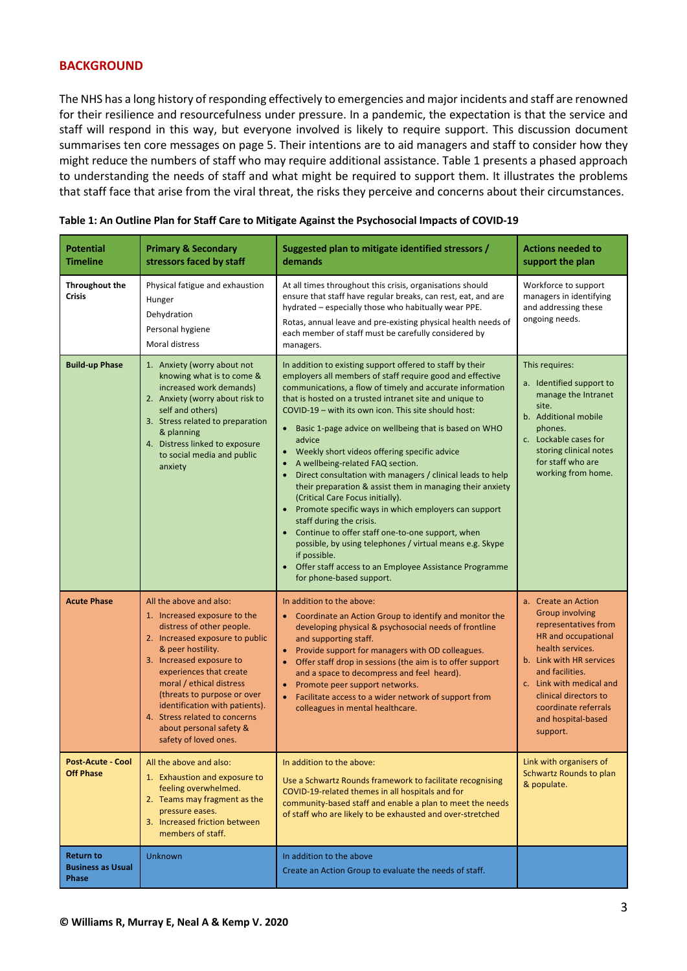#### **BACKGROUND**

The NHS has a long history of responding effectively to emergencies and major incidents and staff are renowned for their resilience and resourcefulness under pressure. In a pandemic, the expectation is that the service and staff will respond in this way, but everyone involved is likely to require support. This discussion document summarises ten core messages on page 5. Their intentions are to aid managers and staff to consider how they might reduce the numbers of staff who may require additional assistance. Table 1 presents a phased approach to understanding the needs of staff and what might be required to support them. It illustrates the problems that staff face that arise from the viral threat, the risks they perceive and concerns about their circumstances.

| <b>Potential</b><br><b>Timeline</b>                   | <b>Primary &amp; Secondary</b><br>stressors faced by staff                                                                                                                                                                                                                                                                                                                            | Suggested plan to mitigate identified stressors /<br>demands                                                                                                                                                                                                                                                                                                                                                                                                                                                                                                                                                                                                                                                                                                                                                                                                                                                                                                     | <b>Actions needed to</b><br>support the plan                                                                                                                                                                                                                                   |
|-------------------------------------------------------|---------------------------------------------------------------------------------------------------------------------------------------------------------------------------------------------------------------------------------------------------------------------------------------------------------------------------------------------------------------------------------------|------------------------------------------------------------------------------------------------------------------------------------------------------------------------------------------------------------------------------------------------------------------------------------------------------------------------------------------------------------------------------------------------------------------------------------------------------------------------------------------------------------------------------------------------------------------------------------------------------------------------------------------------------------------------------------------------------------------------------------------------------------------------------------------------------------------------------------------------------------------------------------------------------------------------------------------------------------------|--------------------------------------------------------------------------------------------------------------------------------------------------------------------------------------------------------------------------------------------------------------------------------|
| Throughout the<br><b>Crisis</b>                       | Physical fatigue and exhaustion<br>Hunger<br>Dehydration<br>Personal hygiene<br>Moral distress                                                                                                                                                                                                                                                                                        | At all times throughout this crisis, organisations should<br>ensure that staff have regular breaks, can rest, eat, and are<br>hydrated - especially those who habitually wear PPE.<br>Rotas, annual leave and pre-existing physical health needs of<br>each member of staff must be carefully considered by<br>managers.                                                                                                                                                                                                                                                                                                                                                                                                                                                                                                                                                                                                                                         | Workforce to support<br>managers in identifying<br>and addressing these<br>ongoing needs.                                                                                                                                                                                      |
| <b>Build-up Phase</b>                                 | 1. Anxiety (worry about not<br>knowing what is to come &<br>increased work demands)<br>2. Anxiety (worry about risk to<br>self and others)<br>3. Stress related to preparation<br>& planning<br>4. Distress linked to exposure<br>to social media and public<br>anxiety                                                                                                               | In addition to existing support offered to staff by their<br>employers all members of staff require good and effective<br>communications, a flow of timely and accurate information<br>that is hosted on a trusted intranet site and unique to<br>COVID-19 - with its own icon. This site should host:<br>Basic 1-page advice on wellbeing that is based on WHO<br>advice<br>Weekly short videos offering specific advice<br>A wellbeing-related FAQ section.<br>Direct consultation with managers / clinical leads to help<br>$\bullet$<br>their preparation & assist them in managing their anxiety<br>(Critical Care Focus initially).<br>Promote specific ways in which employers can support<br>$\bullet$<br>staff during the crisis.<br>Continue to offer staff one-to-one support, when<br>possible, by using telephones / virtual means e.g. Skype<br>if possible.<br>Offer staff access to an Employee Assistance Programme<br>for phone-based support. | This requires:<br>a. Identified support to<br>manage the Intranet<br>site.<br>b. Additional mobile<br>phones.<br>c. Lockable cases for<br>storing clinical notes<br>for staff who are<br>working from home.                                                                    |
| <b>Acute Phase</b>                                    | All the above and also:<br>1. Increased exposure to the<br>distress of other people.<br>2. Increased exposure to public<br>& peer hostility.<br>3. Increased exposure to<br>experiences that create<br>moral / ethical distress<br>(threats to purpose or over<br>identification with patients).<br>4. Stress related to concerns<br>about personal safety &<br>safety of loved ones. | In addition to the above:<br>Coordinate an Action Group to identify and monitor the<br>developing physical & psychosocial needs of frontline<br>and supporting staff.<br>Provide support for managers with OD colleagues.<br>Offer staff drop in sessions (the aim is to offer support<br>$\bullet$<br>and a space to decompress and feel heard).<br>Promote peer support networks.<br>Facilitate access to a wider network of support from<br>$\bullet$<br>colleagues in mental healthcare.                                                                                                                                                                                                                                                                                                                                                                                                                                                                     | a. Create an Action<br><b>Group involving</b><br>representatives from<br>HR and occupational<br>health services.<br>b. Link with HR services<br>and facilities.<br>c. Link with medical and<br>clinical directors to<br>coordinate referrals<br>and hospital-based<br>support. |
| Post-Acute - Cool<br><b>Off Phase</b>                 | All the above and also:<br>1. Exhaustion and exposure to<br>feeling overwhelmed.<br>2. Teams may fragment as the<br>pressure eases.<br>3. Increased friction between<br>members of staff.                                                                                                                                                                                             | In addition to the above:<br>Use a Schwartz Rounds framework to facilitate recognising<br>COVID-19-related themes in all hospitals and for<br>community-based staff and enable a plan to meet the needs<br>of staff who are likely to be exhausted and over-stretched                                                                                                                                                                                                                                                                                                                                                                                                                                                                                                                                                                                                                                                                                            | Link with organisers of<br>Schwartz Rounds to plan<br>& populate.                                                                                                                                                                                                              |
| <b>Return to</b><br><b>Business as Usual</b><br>Phase | Unknown                                                                                                                                                                                                                                                                                                                                                                               | In addition to the above<br>Create an Action Group to evaluate the needs of staff.                                                                                                                                                                                                                                                                                                                                                                                                                                                                                                                                                                                                                                                                                                                                                                                                                                                                               |                                                                                                                                                                                                                                                                                |

|  |  | Table 1: An Outline Plan for Staff Care to Mitigate Against the Psychosocial Impacts of COVID-19 |
|--|--|--------------------------------------------------------------------------------------------------|
|--|--|--------------------------------------------------------------------------------------------------|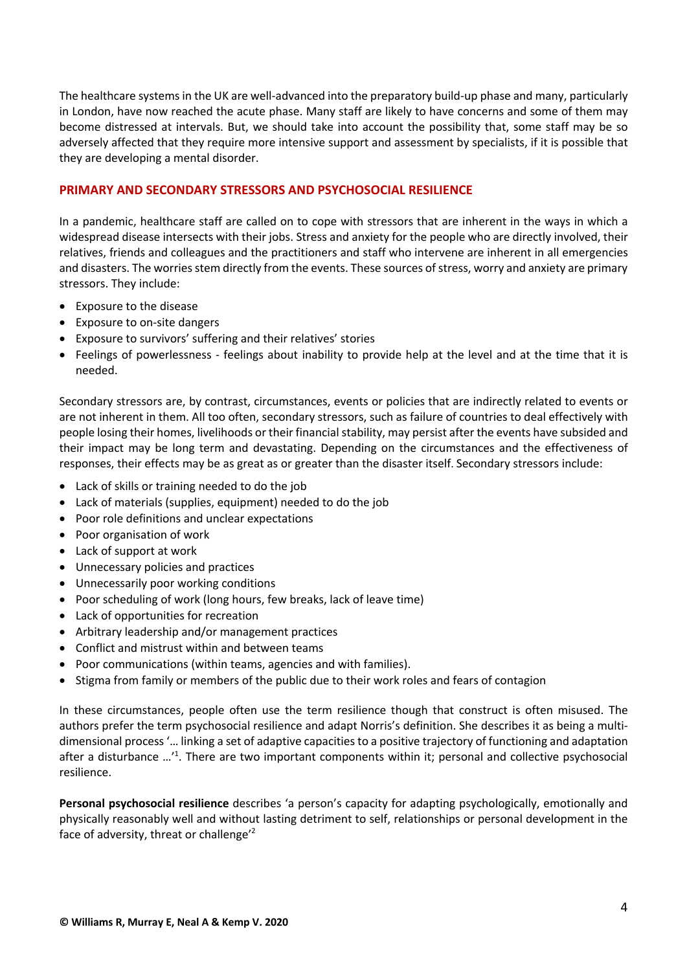The healthcare systems in the UK are well-advanced into the preparatory build-up phase and many, particularly in London, have now reached the acute phase. Many staff are likely to have concerns and some of them may become distressed at intervals. But, we should take into account the possibility that, some staff may be so adversely affected that they require more intensive support and assessment by specialists, if it is possible that they are developing a mental disorder.

# **PRIMARY AND SECONDARY STRESSORS AND PSYCHOSOCIAL RESILIENCE**

In a pandemic, healthcare staff are called on to cope with stressors that are inherent in the ways in which a widespread disease intersects with their jobs. Stress and anxiety for the people who are directly involved, their relatives, friends and colleagues and the practitioners and staff who intervene are inherent in all emergencies and disasters. The worries stem directly from the events. These sources of stress, worry and anxiety are primary stressors. They include:

- Exposure to the disease
- Exposure to on-site dangers
- Exposure to survivors' suffering and their relatives' stories
- Feelings of powerlessness feelings about inability to provide help at the level and at the time that it is needed.

Secondary stressors are, by contrast, circumstances, events or policies that are indirectly related to events or are not inherent in them. All too often, secondary stressors, such as failure of countries to deal effectively with people losing their homes, livelihoods or their financial stability, may persist after the events have subsided and their impact may be long term and devastating. Depending on the circumstances and the effectiveness of responses, their effects may be as great as or greater than the disaster itself. Secondary stressors include:

- Lack of skills or training needed to do the job
- Lack of materials (supplies, equipment) needed to do the job
- Poor role definitions and unclear expectations
- Poor organisation of work
- Lack of support at work
- Unnecessary policies and practices
- Unnecessarily poor working conditions
- Poor scheduling of work (long hours, few breaks, lack of leave time)
- Lack of opportunities for recreation
- Arbitrary leadership and/or management practices
- Conflict and mistrust within and between teams
- Poor communications (within teams, agencies and with families).
- Stigma from family or members of the public due to their work roles and fears of contagion

In these circumstances, people often use the term resilience though that construct is often misused. The authors prefer the term psychosocial resilience and adapt Norris's definition. She describes it as being a multidimensional process '… linking a set of adaptive capacities to a positive trajectory of functioning and adaptation after a disturbance ...<sup>'1</sup>. There are two important components within it; personal and collective psychosocial resilience.

**Personal psychosocial resilience** describes 'a person's capacity for adapting psychologically, emotionally and physically reasonably well and without lasting detriment to self, relationships or personal development in the face of adversity, threat or challenge<sup>'2</sup>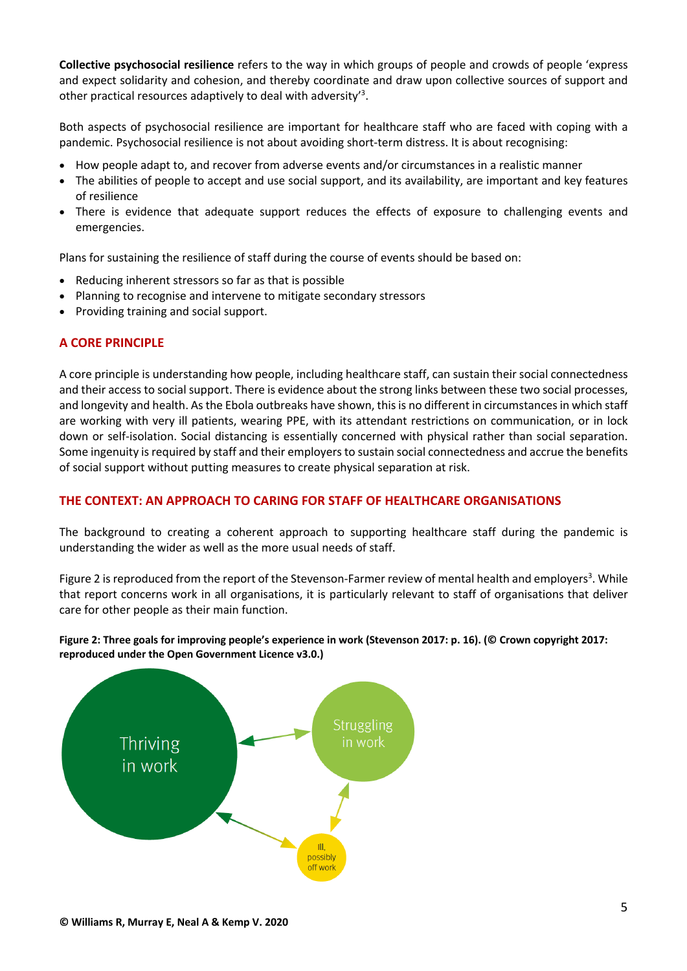**Collective psychosocial resilience** refers to the way in which groups of people and crowds of people 'express and expect solidarity and cohesion, and thereby coordinate and draw upon collective sources of support and other practical resources adaptively to deal with adversity<sup>3</sup>.

Both aspects of psychosocial resilience are important for healthcare staff who are faced with coping with a pandemic. Psychosocial resilience is not about avoiding short-term distress. It is about recognising:

- How people adapt to, and recover from adverse events and/or circumstances in a realistic manner
- The abilities of people to accept and use social support, and its availability, are important and key features of resilience
- There is evidence that adequate support reduces the effects of exposure to challenging events and emergencies.

Plans for sustaining the resilience of staff during the course of events should be based on:

- Reducing inherent stressors so far as that is possible
- Planning to recognise and intervene to mitigate secondary stressors
- Providing training and social support.

# **A CORE PRINCIPLE**

A core principle is understanding how people, including healthcare staff, can sustain their social connectedness and their access to social support. There is evidence about the strong links between these two social processes, and longevity and health. As the Ebola outbreaks have shown, this is no different in circumstances in which staff are working with very ill patients, wearing PPE, with its attendant restrictions on communication, or in lock down or self-isolation. Social distancing is essentially concerned with physical rather than social separation. Some ingenuity is required by staff and their employers to sustain social connectedness and accrue the benefits of social support without putting measures to create physical separation at risk.

# **THE CONTEXT: AN APPROACH TO CARING FOR STAFF OF HEALTHCARE ORGANISATIONS**

The background to creating a coherent approach to supporting healthcare staff during the pandemic is understanding the wider as well as the more usual needs of staff.

Figure 2 is reproduced from the report of the Stevenson-Farmer review of mental health and employers<sup>3</sup>. While that report concerns work in all organisations, it is particularly relevant to staff of organisations that deliver care for other people as their main function.

#### **Figure 2: Three goals for improving people's experience in work (Stevenson 2017: p. 16). (© Crown copyright 2017: reproduced under the Open Government Licence v3.0.)**

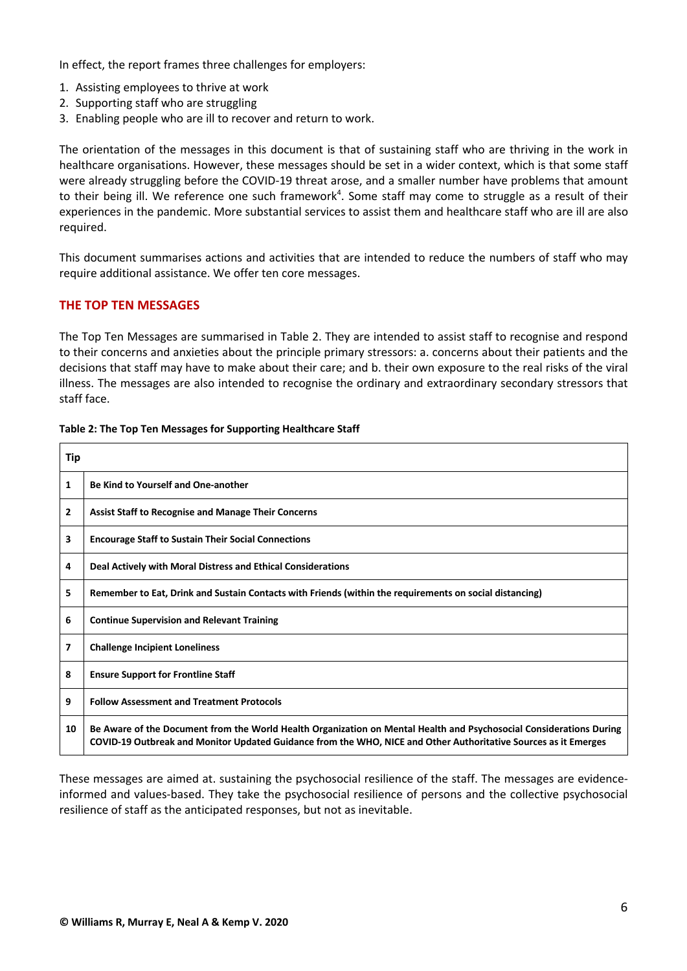In effect, the report frames three challenges for employers:

- 1. Assisting employees to thrive at work
- 2. Supporting staff who are struggling
- 3. Enabling people who are ill to recover and return to work.

The orientation of the messages in this document is that of sustaining staff who are thriving in the work in healthcare organisations. However, these messages should be set in a wider context, which is that some staff were already struggling before the COVID-19 threat arose, and a smaller number have problems that amount to their being ill. We reference one such framework<sup>4</sup>. Some staff may come to struggle as a result of their experiences in the pandemic. More substantial services to assist them and healthcare staff who are ill are also required.

This document summarises actions and activities that are intended to reduce the numbers of staff who may require additional assistance. We offer ten core messages.

#### **THE TOP TEN MESSAGES**

The Top Ten Messages are summarised in Table 2. They are intended to assist staff to recognise and respond to their concerns and anxieties about the principle primary stressors: a. concerns about their patients and the decisions that staff may have to make about their care; and b. their own exposure to the real risks of the viral illness. The messages are also intended to recognise the ordinary and extraordinary secondary stressors that staff face.

| Tip          |                                                                                                                                                                                                                                        |
|--------------|----------------------------------------------------------------------------------------------------------------------------------------------------------------------------------------------------------------------------------------|
| 1            | Be Kind to Yourself and One-another                                                                                                                                                                                                    |
| $\mathbf{2}$ | <b>Assist Staff to Recognise and Manage Their Concerns</b>                                                                                                                                                                             |
| 3            | <b>Encourage Staff to Sustain Their Social Connections</b>                                                                                                                                                                             |
| 4            | Deal Actively with Moral Distress and Ethical Considerations                                                                                                                                                                           |
| 5            | Remember to Eat, Drink and Sustain Contacts with Friends (within the requirements on social distancing)                                                                                                                                |
| 6            | <b>Continue Supervision and Relevant Training</b>                                                                                                                                                                                      |
| 7            | <b>Challenge Incipient Loneliness</b>                                                                                                                                                                                                  |
| 8            | <b>Ensure Support for Frontline Staff</b>                                                                                                                                                                                              |
| 9            | <b>Follow Assessment and Treatment Protocols</b>                                                                                                                                                                                       |
| 10           | Be Aware of the Document from the World Health Organization on Mental Health and Psychosocial Considerations During<br>COVID-19 Outbreak and Monitor Updated Guidance from the WHO, NICE and Other Authoritative Sources as it Emerges |

#### **Table 2: The Top Ten Messages for Supporting Healthcare Staff**

These messages are aimed at. sustaining the psychosocial resilience of the staff. The messages are evidenceinformed and values-based. They take the psychosocial resilience of persons and the collective psychosocial resilience of staff as the anticipated responses, but not as inevitable.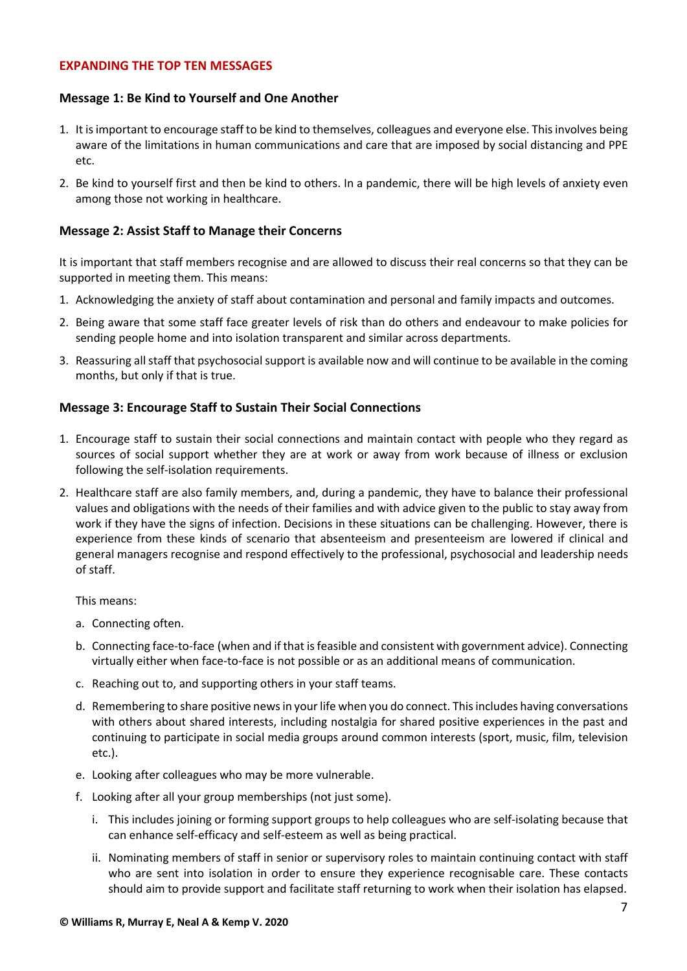#### **EXPANDING THE TOP TEN MESSAGES**

## **Message 1: Be Kind to Yourself and One Another**

- 1. It is important to encourage staff to be kind to themselves, colleagues and everyone else. This involves being aware of the limitations in human communications and care that are imposed by social distancing and PPE etc.
- 2. Be kind to yourself first and then be kind to others. In a pandemic, there will be high levels of anxiety even among those not working in healthcare.

#### **Message 2: Assist Staff to Manage their Concerns**

It is important that staff members recognise and are allowed to discuss their real concerns so that they can be supported in meeting them. This means:

- 1. Acknowledging the anxiety of staff about contamination and personal and family impacts and outcomes.
- 2. Being aware that some staff face greater levels of risk than do others and endeavour to make policies for sending people home and into isolation transparent and similar across departments.
- 3. Reassuring all staff that psychosocialsupport is available now and will continue to be available in the coming months, but only if that is true.

## **Message 3: Encourage Staff to Sustain Their Social Connections**

- 1. Encourage staff to sustain their social connections and maintain contact with people who they regard as sources of social support whether they are at work or away from work because of illness or exclusion following the self-isolation requirements.
- 2. Healthcare staff are also family members, and, during a pandemic, they have to balance their professional values and obligations with the needs of their families and with advice given to the public to stay away from work if they have the signs of infection. Decisions in these situations can be challenging. However, there is experience from these kinds of scenario that absenteeism and presenteeism are lowered if clinical and general managers recognise and respond effectively to the professional, psychosocial and leadership needs of staff.

#### This means:

- a. Connecting often.
- b. Connecting face-to-face (when and if that is feasible and consistent with government advice). Connecting virtually either when face-to-face is not possible or as an additional means of communication.
- c. Reaching out to, and supporting others in your staff teams.
- d. Remembering to share positive news in your life when you do connect. This includes having conversations with others about shared interests, including nostalgia for shared positive experiences in the past and continuing to participate in social media groups around common interests (sport, music, film, television etc.).
- e. Looking after colleagues who may be more vulnerable.
- f. Looking after all your group memberships (not just some).
	- i. This includes joining or forming support groups to help colleagues who are self-isolating because that can enhance self-efficacy and self-esteem as well as being practical.
	- ii. Nominating members of staff in senior or supervisory roles to maintain continuing contact with staff who are sent into isolation in order to ensure they experience recognisable care. These contacts should aim to provide support and facilitate staff returning to work when their isolation has elapsed.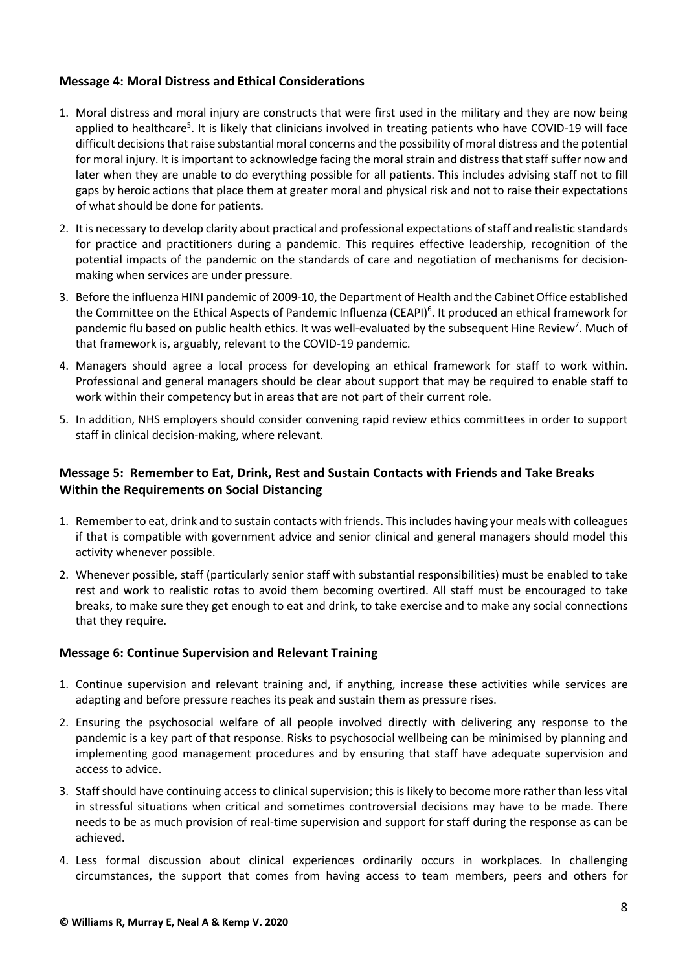# **Message 4: Moral Distress and Ethical Considerations**

- 1. Moral distress and moral injury are constructs that were first used in the military and they are now being applied to healthcare<sup>5</sup>. It is likely that clinicians involved in treating patients who have COVID-19 will face difficult decisions that raise substantial moral concerns and the possibility of moral distress and the potential for moral injury. It is important to acknowledge facing the moral strain and distress that staff suffer now and later when they are unable to do everything possible for all patients. This includes advising staff not to fill gaps by heroic actions that place them at greater moral and physical risk and not to raise their expectations of what should be done for patients.
- 2. It is necessary to develop clarity about practical and professional expectations of staff and realistic standards for practice and practitioners during a pandemic. This requires effective leadership, recognition of the potential impacts of the pandemic on the standards of care and negotiation of mechanisms for decisionmaking when services are under pressure.
- 3. Before the influenza HINI pandemic of 2009-10, the Department of Health and the Cabinet Office established the Committee on the Ethical Aspects of Pandemic Influenza (CEAPI)<sup>6</sup>. It produced an ethical framework for pandemic flu based on public health ethics. It was well-evaluated by the subsequent Hine Review<sup>7</sup>. Much of that framework is, arguably, relevant to the COVID-19 pandemic.
- 4. Managers should agree a local process for developing an ethical framework for staff to work within. Professional and general managers should be clear about support that may be required to enable staff to work within their competency but in areas that are not part of their current role.
- 5. In addition, NHS employers should consider convening rapid review ethics committees in order to support staff in clinical decision-making, where relevant.

# **Message 5: Remember to Eat, Drink, Rest and Sustain Contacts with Friends and Take Breaks Within the Requirements on Social Distancing**

- 1. Remember to eat, drink and to sustain contacts with friends. This includes having your meals with colleagues if that is compatible with government advice and senior clinical and general managers should model this activity whenever possible.
- 2. Whenever possible, staff (particularly senior staff with substantial responsibilities) must be enabled to take rest and work to realistic rotas to avoid them becoming overtired. All staff must be encouraged to take breaks, to make sure they get enough to eat and drink, to take exercise and to make any social connections that they require.

# **Message 6: Continue Supervision and Relevant Training**

- 1. Continue supervision and relevant training and, if anything, increase these activities while services are adapting and before pressure reaches its peak and sustain them as pressure rises.
- 2. Ensuring the psychosocial welfare of all people involved directly with delivering any response to the pandemic is a key part of that response. Risks to psychosocial wellbeing can be minimised by planning and implementing good management procedures and by ensuring that staff have adequate supervision and access to advice.
- 3. Staff should have continuing access to clinical supervision; this is likely to become more rather than less vital in stressful situations when critical and sometimes controversial decisions may have to be made. There needs to be as much provision of real-time supervision and support for staff during the response as can be achieved.
- 4. Less formal discussion about clinical experiences ordinarily occurs in workplaces. In challenging circumstances, the support that comes from having access to team members, peers and others for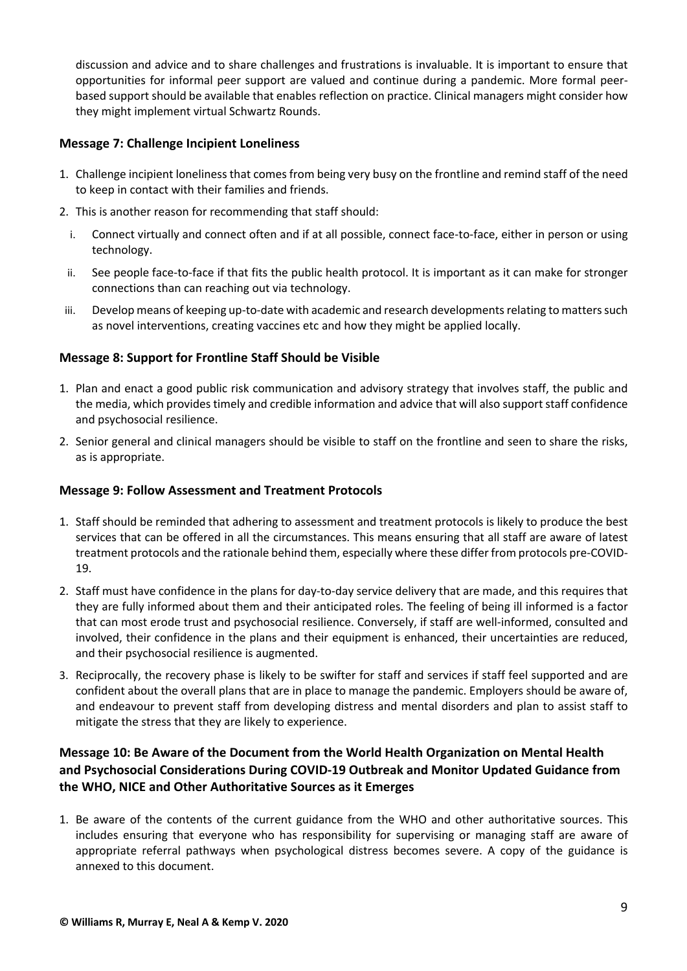discussion and advice and to share challenges and frustrations is invaluable. It is important to ensure that opportunities for informal peer support are valued and continue during a pandemic. More formal peerbased support should be available that enables reflection on practice. Clinical managers might consider how they might implement virtual Schwartz Rounds.

## **Message 7: Challenge Incipient Loneliness**

- 1. Challenge incipient loneliness that comes from being very busy on the frontline and remind staff of the need to keep in contact with their families and friends.
- 2. This is another reason for recommending that staff should:
	- i. Connect virtually and connect often and if at all possible, connect face-to-face, either in person or using technology.
- ii. See people face-to-face if that fits the public health protocol. It is important as it can make for stronger connections than can reaching out via technology.
- iii. Develop means of keeping up-to-date with academic and research developments relating to matters such as novel interventions, creating vaccines etc and how they might be applied locally.

# **Message 8: Support for Frontline Staff Should be Visible**

- 1. Plan and enact a good public risk communication and advisory strategy that involves staff, the public and the media, which provides timely and credible information and advice that will also support staff confidence and psychosocial resilience.
- 2. Senior general and clinical managers should be visible to staff on the frontline and seen to share the risks, as is appropriate.

# **Message 9: Follow Assessment and Treatment Protocols**

- 1. Staff should be reminded that adhering to assessment and treatment protocols is likely to produce the best services that can be offered in all the circumstances. This means ensuring that all staff are aware of latest treatment protocols and the rationale behind them, especially where these differ from protocols pre-COVID-19.
- 2. Staff must have confidence in the plans for day-to-day service delivery that are made, and this requires that they are fully informed about them and their anticipated roles. The feeling of being ill informed is a factor that can most erode trust and psychosocial resilience. Conversely, if staff are well-informed, consulted and involved, their confidence in the plans and their equipment is enhanced, their uncertainties are reduced, and their psychosocial resilience is augmented.
- 3. Reciprocally, the recovery phase is likely to be swifter for staff and services if staff feel supported and are confident about the overall plans that are in place to manage the pandemic. Employers should be aware of, and endeavour to prevent staff from developing distress and mental disorders and plan to assist staff to mitigate the stress that they are likely to experience.

# **Message 10: Be Aware of the Document from the World Health Organization on Mental Health and Psychosocial Considerations During COVID-19 Outbreak and Monitor Updated Guidance from the WHO, NICE and Other Authoritative Sources as it Emerges**

1. Be aware of the contents of the current guidance from the WHO and other authoritative sources. This includes ensuring that everyone who has responsibility for supervising or managing staff are aware of appropriate referral pathways when psychological distress becomes severe. A copy of the guidance is annexed to this document.